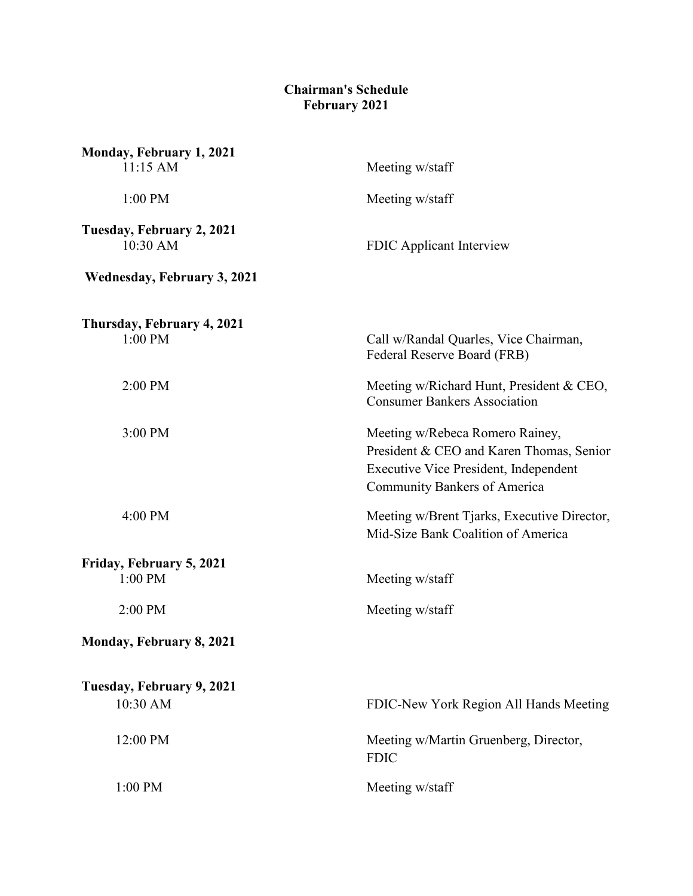## **Chairman's Schedule February 2021**

| Monday, February 1, 2021<br>11:15 AM  | Meeting w/staff                                                                                                                                             |
|---------------------------------------|-------------------------------------------------------------------------------------------------------------------------------------------------------------|
| 1:00 PM                               | Meeting w/staff                                                                                                                                             |
| Tuesday, February 2, 2021<br>10:30 AM | FDIC Applicant Interview                                                                                                                                    |
| <b>Wednesday, February 3, 2021</b>    |                                                                                                                                                             |
| Thursday, February 4, 2021<br>1:00 PM | Call w/Randal Quarles, Vice Chairman,<br>Federal Reserve Board (FRB)                                                                                        |
| 2:00 PM                               | Meeting w/Richard Hunt, President & CEO,<br><b>Consumer Bankers Association</b>                                                                             |
| 3:00 PM                               | Meeting w/Rebeca Romero Rainey,<br>President & CEO and Karen Thomas, Senior<br>Executive Vice President, Independent<br><b>Community Bankers of America</b> |
| 4:00 PM                               | Meeting w/Brent Tjarks, Executive Director,<br>Mid-Size Bank Coalition of America                                                                           |
| Friday, February 5, 2021<br>1:00 PM   | Meeting w/staff                                                                                                                                             |
| 2:00 PM                               | Meeting w/staff                                                                                                                                             |
| Monday, February 8, 2021              |                                                                                                                                                             |
| Tuesday, February 9, 2021<br>10:30 AM | FDIC-New York Region All Hands Meeting                                                                                                                      |
| 12:00 PM                              | Meeting w/Martin Gruenberg, Director,<br><b>FDIC</b>                                                                                                        |
| 1:00 PM                               | Meeting w/staff                                                                                                                                             |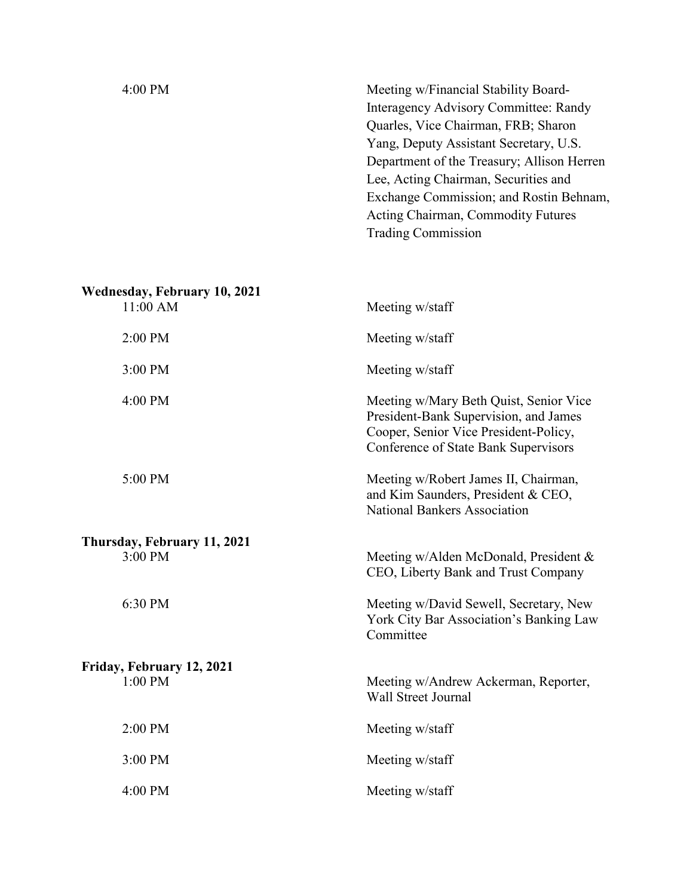| 4:00 PM                             | Meeting w/Financial Stability Board-<br>Interagency Advisory Committee: Randy<br>Quarles, Vice Chairman, FRB; Sharon |                                      |  |                                        |
|-------------------------------------|----------------------------------------------------------------------------------------------------------------------|--------------------------------------|--|----------------------------------------|
|                                     |                                                                                                                      |                                      |  | Yang, Deputy Assistant Secretary, U.S. |
|                                     |                                                                                                                      |                                      |  |                                        |
|                                     |                                                                                                                      | Lee, Acting Chairman, Securities and |  |                                        |
|                                     | Exchange Commission; and Rostin Behnam,                                                                              |                                      |  |                                        |
|                                     | Acting Chairman, Commodity Futures                                                                                   |                                      |  |                                        |
|                                     | <b>Trading Commission</b>                                                                                            |                                      |  |                                        |
|                                     |                                                                                                                      |                                      |  |                                        |
|                                     |                                                                                                                      |                                      |  |                                        |
| <b>Wednesday, February 10, 2021</b> |                                                                                                                      |                                      |  |                                        |
| 11:00 AM                            | Meeting w/staff                                                                                                      |                                      |  |                                        |
|                                     |                                                                                                                      |                                      |  |                                        |
| 2:00 PM                             | Meeting w/staff                                                                                                      |                                      |  |                                        |
| 3:00 PM                             |                                                                                                                      |                                      |  |                                        |
|                                     | Meeting w/staff                                                                                                      |                                      |  |                                        |
| 4:00 PM                             | Meeting w/Mary Beth Quist, Senior Vice<br>President-Bank Supervision, and James                                      |                                      |  |                                        |

| 5:00 PM |  |  |
|---------|--|--|
|         |  |  |

**Thursday, February 11, 2021**

**Friday, February 12, 2021**

3:00 PM Meeting w/Alden McDonald, President & CEO, Liberty Bank and Trust Company

Cooper, Senior Vice President-Policy, Conference of State Bank Supervisors

Meeting w/Robert James II, Chairman, and Kim Saunders, President & CEO,

National Bankers Association

6:30 PM Meeting w/David Sewell, Secretary, New York City Bar Association's Banking Law Committee

1:00 PM Meeting w/Andrew Ackerman, Reporter, Wall Street Journal

2:00 PM Meeting w/staff

3:00 PM Meeting w/staff

4:00 PM Meeting w/staff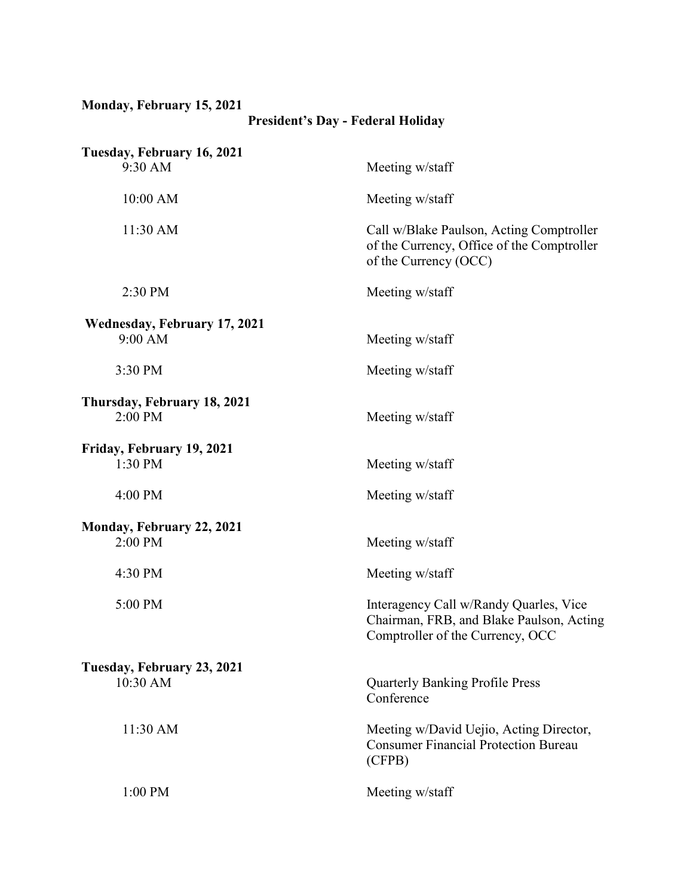## **Monday, February 15, 2021**

## **President's Day - Federal Holiday**

| Tuesday, February 16, 2021<br>9:30 AM   | Meeting w/staff                                                                                                        |
|-----------------------------------------|------------------------------------------------------------------------------------------------------------------------|
| 10:00 AM                                | Meeting w/staff                                                                                                        |
| 11:30 AM                                | Call w/Blake Paulson, Acting Comptroller<br>of the Currency, Office of the Comptroller<br>of the Currency (OCC)        |
| 2:30 PM                                 | Meeting w/staff                                                                                                        |
| Wednesday, February 17, 2021<br>9:00 AM | Meeting w/staff                                                                                                        |
| 3:30 PM                                 | Meeting w/staff                                                                                                        |
| Thursday, February 18, 2021<br>2:00 PM  | Meeting w/staff                                                                                                        |
| Friday, February 19, 2021<br>1:30 PM    | Meeting w/staff                                                                                                        |
| 4:00 PM                                 | Meeting w/staff                                                                                                        |
| Monday, February 22, 2021<br>2:00 PM    | Meeting w/staff                                                                                                        |
| 4:30 PM                                 | Meeting w/staff                                                                                                        |
| 5:00 PM                                 | Interagency Call w/Randy Quarles, Vice<br>Chairman, FRB, and Blake Paulson, Acting<br>Comptroller of the Currency, OCC |
| Tuesday, February 23, 2021<br>10:30 AM  | <b>Quarterly Banking Profile Press</b><br>Conference                                                                   |
| 11:30 AM                                | Meeting w/David Uejio, Acting Director,<br><b>Consumer Financial Protection Bureau</b><br>(CFPB)                       |
| 1:00 PM                                 | Meeting w/staff                                                                                                        |